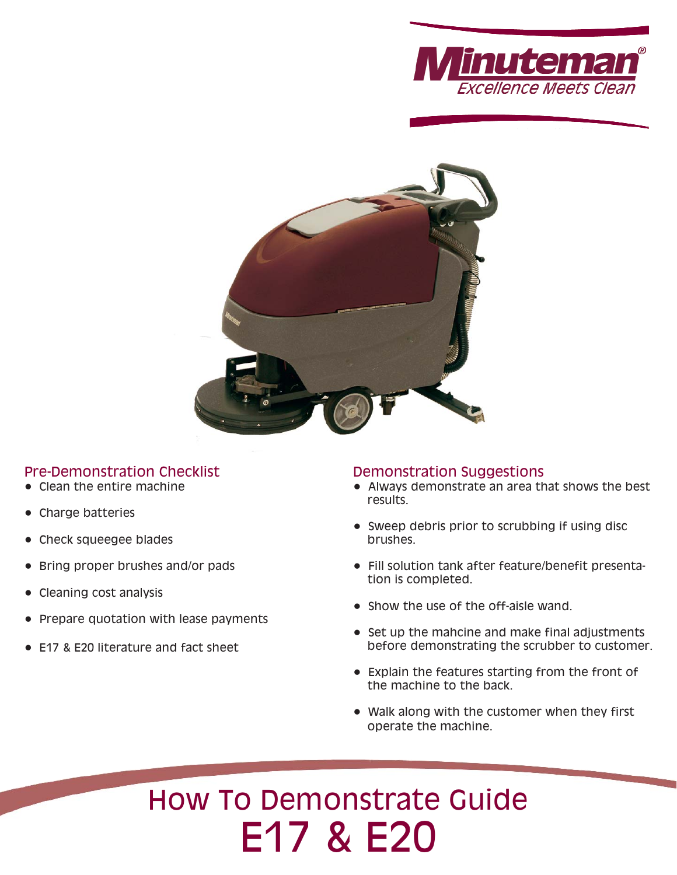



# Pre-Demonstration Checklist

- Clean the entire machine
- Charge batteries
- Check squeegee blades
- Bring proper brushes and/or pads
- Cleaning cost analysis
- Prepare quotation with lease payments
- E17 & E20 literature and fact sheet

# Demonstration Suggestions

- Always demonstrate an area that shows the best results.
- Sweep debris prior to scrubbing if using disc brushes.
- Fill solution tank after feature/benefit presentation is completed.
- Show the use of the off-aisle wand.
- Set up the mahcine and make final adjustments before demonstrating the scrubber to customer.
- Explain the features starting from the front of the machine to the back.
- Walk along with the customer when they first operate the machine.

# How To Demonstrate Guide E17 & E20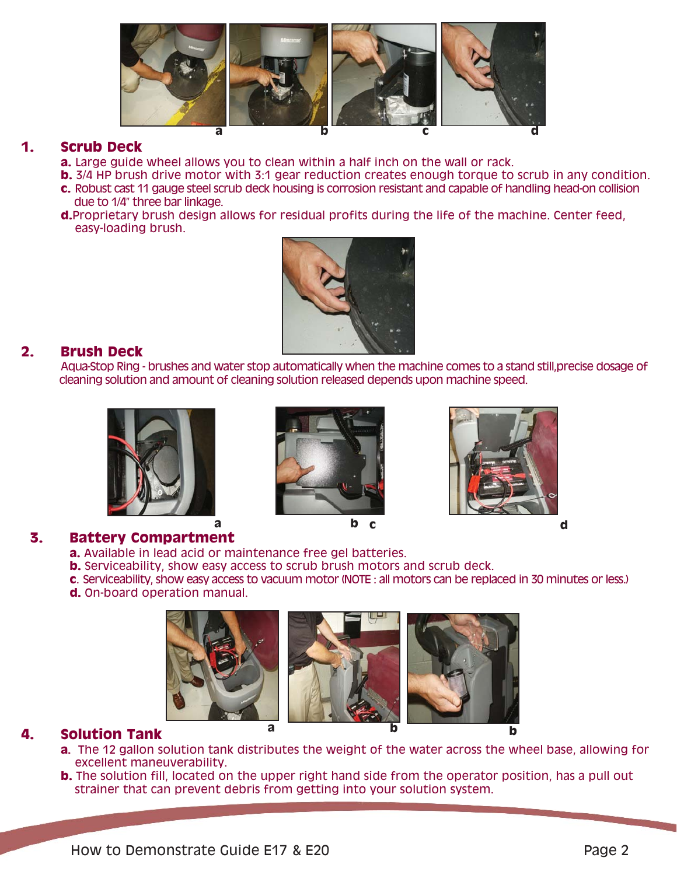

# **1. Scrub Deck**

- **a.** Large guide wheel allows you to clean within a half inch on the wall or rack.
- **b.** 3/4 HP brush drive motor with 3:1 gear reduction creates enough torque to scrub in any condition.
- **c.** Robust cast 11 gauge steel scrub deck housing is corrosion resistant and capable of handling head-on collision due to 1/4" three bar linkage.
- **d.**Proprietary brush design allows for residual profits during the life of the machine. Center feed, easy-loading brush.



# **2. Brush Deck**

Aqua-Stop Ring - brushes and water stop automatically when the machine comes to a stand still,precise dosage of cleaning solution and amount of cleaning solution released depends upon machine speed.











# **3. Battery Compartment**

- **a.** Available in lead acid or maintenance free gel batteries.
- **b.** Serviceability, show easy access to scrub brush motors and scrub deck.
- **c**. Serviceability, show easy access to vacuum motor (NOTE : all motors can be replaced in 30 minutes or less.)
- **d.** On-board operation manual.



# **4. Solution Tank**

- **a.** The 12 gallon solution tank distributes the weight of the water across the wheel base, allowing for excellent maneuverability.
- **b.** The solution fill, located on the upper right hand side from the operator position, has a pull out strainer that can prevent debris from getting into your solution system.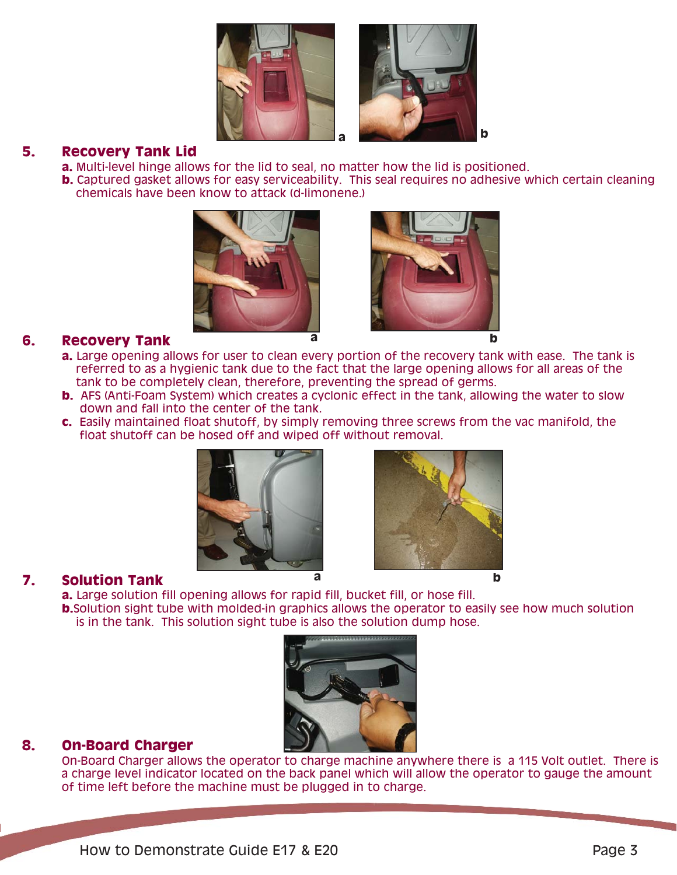



## **5. Recovery Tank Lid**

- **a.** Multi-level hinge allows for the lid to seal, no matter how the lid is positioned.
- **b.** Captured gasket allows for easy serviceability. This seal requires no adhesive which certain cleaning chemicals have been know to attack (d-limonene.)





# **6. Recovery Tank**

- **a.** Large opening allows for user to clean every portion of the recovery tank with ease. The tank is referred to as a hygienic tank due to the fact that the large opening allows for all areas of the tank to be completely clean, therefore, preventing the spread of germs.
- **b.** AFS (Anti-Foam System) which creates a cyclonic effect in the tank, allowing the water to slow down and fall into the center of the tank.
- **c.** Easily maintained float shutoff, by simply removing three screws from the vac manifold, the float shutoff can be hosed off and wiped off without removal.





# **7. Solution Tank <sup>a</sup> <sup>b</sup>**

**a.** Large solution fill opening allows for rapid fill, bucket fill, or hose fill. **b.** Solution sight tube with molded-in graphics allows the operator to easily see how much solution is in the tank. This solution sight tube is also the solution dump hose.



# **8. On-Board Charger**

On-Board Charger allows the operator to charge machine anywhere there is a 115 Volt outlet. There is a charge level indicator located on the back panel which will allow the operator to gauge the amount of time left before the machine must be plugged in to charge.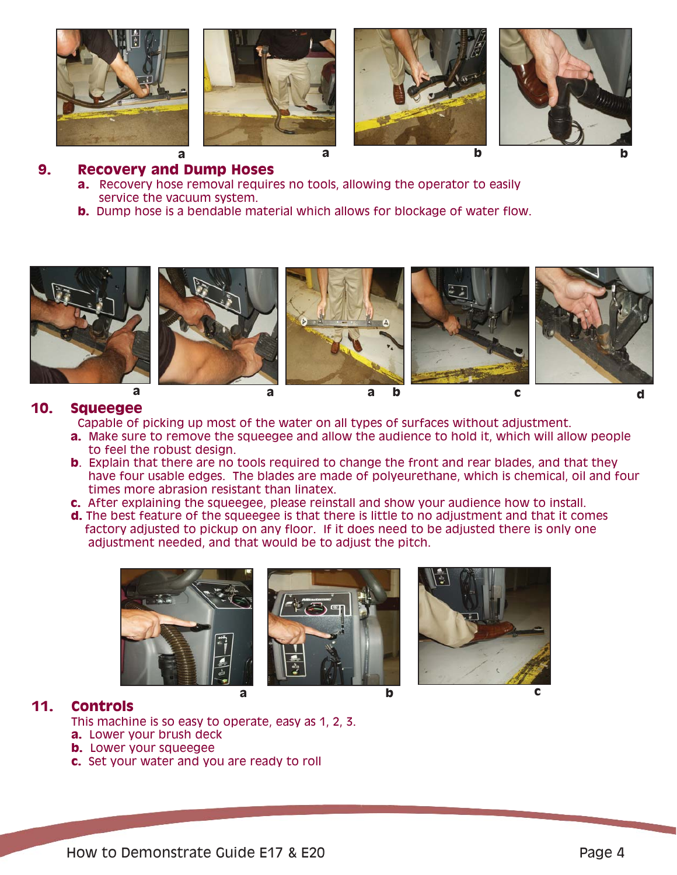







# **9. Recovery and Dump Hoses**

- **a.** Recovery hose removal requires no tools, allowing the operator to easily service the vacuum system.
- **b.** Dump hose is a bendable material which allows for blockage of water flow.



## **10. Squeegee**

Capable of picking up most of the water on all types of surfaces without adjustment.

- **a.** Make sure to remove the squeegee and allow the audience to hold it, which will allow people to feel the robust design.
- **b.** Explain that there are no tools required to change the front and rear blades, and that they have four usable edges. The blades are made of polyeurethane, which is chemical, oil and four times more abrasion resistant than linatex.
- **c.** After explaining the squeegee, please reinstall and show your audience how to install.
- **d.** The best feature of the squeegee is that there is little to no adjustment and that it comes factory adjusted to pickup on any floor. If it does need to be adjusted there is only one adjustment needed, and that would be to adjust the pitch.



# **11. Controls**

This machine is so easy to operate, easy as 1, 2, 3.

- **a.** Lower your brush deck
- **b.** Lower your squeegee
- **c.** Set your water and you are ready to roll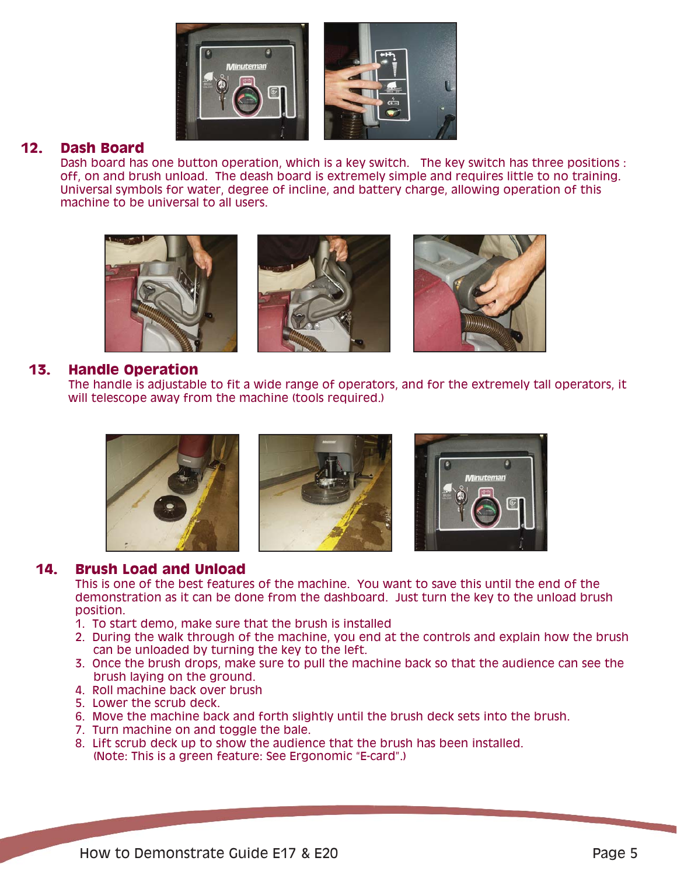

## **12. Dash Board**

Dash board has one button operation, which is a key switch. The key switch has three positions : off, on and brush unload. The deash board is extremely simple and requires little to no training. Universal symbols for water, degree of incline, and battery charge, allowing operation of this machine to be universal to all users.



#### **13. Handle Operation**

The handle is adjustable to fit a wide range of operators, and for the extremely tall operators, it will telescope away from the machine (tools required.)



## **14. Brush Load and Unload**

This is one of the best features of the machine. You want to save this until the end of the demonstration as it can be done from the dashboard. Just turn the key to the unload brush position.

- 1. To start demo, make sure that the brush is installed
- 2. During the walk through of the machine, you end at the controls and explain how the brush can be unloaded by turning the key to the left.
- 3. Once the brush drops, make sure to pull the machine back so that the audience can see the brush laying on the ground.
- 4. Roll machine back over brush
- 5. Lower the scrub deck.
- 6. Move the machine back and forth slightly until the brush deck sets into the brush.
- 7. Turn machine on and toggle the bale.
- 8. Lift scrub deck up to show the audience that the brush has been installed. (Note: This is a green feature: See Ergonomic "E-card".)